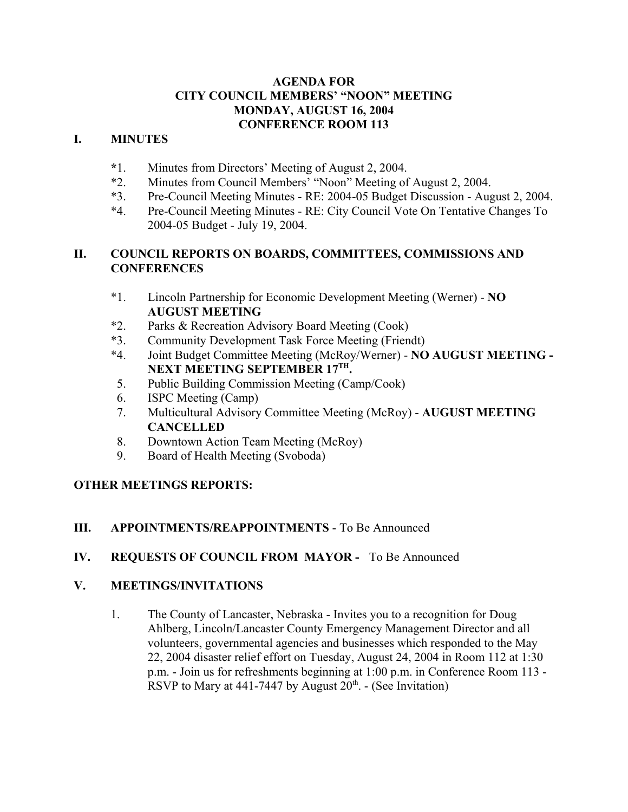### **AGENDA FOR CITY COUNCIL MEMBERS' "NOON" MEETING MONDAY, AUGUST 16, 2004 CONFERENCE ROOM 113**

## **I. MINUTES**

- **\***1. Minutes from Directors' Meeting of August 2, 2004.
- \*2. Minutes from Council Members' "Noon" Meeting of August 2, 2004.
- \*3. Pre-Council Meeting Minutes RE: 2004-05 Budget Discussion August 2, 2004.
- \*4. Pre-Council Meeting Minutes RE: City Council Vote On Tentative Changes To 2004-05 Budget - July 19, 2004.

#### **II. COUNCIL REPORTS ON BOARDS, COMMITTEES, COMMISSIONS AND CONFERENCES**

- \*1. Lincoln Partnership for Economic Development Meeting (Werner) **NO AUGUST MEETING**
- \*2. Parks & Recreation Advisory Board Meeting (Cook)
- \*3. Community Development Task Force Meeting (Friendt)
- \*4. Joint Budget Committee Meeting (McRoy/Werner) **NO AUGUST MEETING - NEXT MEETING SEPTEMBER 17TH.**
- 5. Public Building Commission Meeting (Camp/Cook)
- 6. ISPC Meeting (Camp)
- 7. Multicultural Advisory Committee Meeting (McRoy) **AUGUST MEETING CANCELLED**
- 8. Downtown Action Team Meeting (McRoy)
- 9. Board of Health Meeting (Svoboda)

# **OTHER MEETINGS REPORTS:**

# **III. APPOINTMENTS/REAPPOINTMENTS** - To Be Announced

# **IV. REQUESTS OF COUNCIL FROM MAYOR -** To Be Announced

#### **V. MEETINGS/INVITATIONS**

1. The County of Lancaster, Nebraska - Invites you to a recognition for Doug Ahlberg, Lincoln/Lancaster County Emergency Management Director and all volunteers, governmental agencies and businesses which responded to the May 22, 2004 disaster relief effort on Tuesday, August 24, 2004 in Room 112 at 1:30 p.m. - Join us for refreshments beginning at 1:00 p.m. in Conference Room 113 - RSVP to Mary at 441-7447 by August  $20<sup>th</sup>$ . - (See Invitation)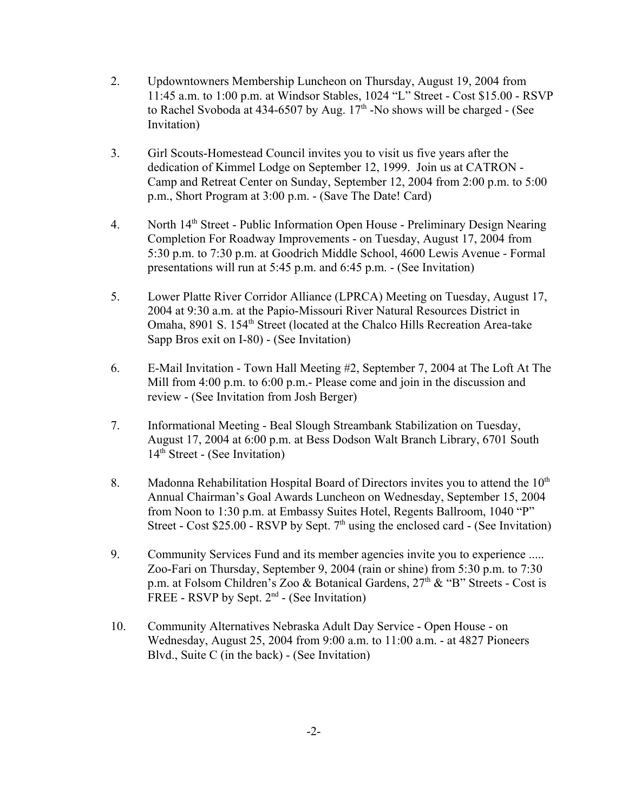- 2. Updowntowners Membership Luncheon on Thursday, August 19, 2004 from 11:45 a.m. to 1:00 p.m. at Windsor Stables, 1024 "L" Street - Cost \$15.00 - RSVP to Rachel Svoboda at 434-6507 by Aug.  $17<sup>th</sup>$ -No shows will be charged - (See Invitation)
- 3. Girl Scouts-Homestead Council invites you to visit us five years after the dedication of Kimmel Lodge on September 12, 1999. Join us at CATRON - Camp and Retreat Center on Sunday, September 12, 2004 from 2:00 p.m. to 5:00 p.m., Short Program at 3:00 p.m. - (Save The Date! Card)
- 4. North 14th Street Public Information Open House Preliminary Design Nearing Completion For Roadway Improvements - on Tuesday, August 17, 2004 from 5:30 p.m. to 7:30 p.m. at Goodrich Middle School, 4600 Lewis Avenue - Formal presentations will run at 5:45 p.m. and 6:45 p.m. - (See Invitation)
- 5. Lower Platte River Corridor Alliance (LPRCA) Meeting on Tuesday, August 17, 2004 at 9:30 a.m. at the Papio-Missouri River Natural Resources District in Omaha, 8901 S. 154<sup>th</sup> Street (located at the Chalco Hills Recreation Area-take Sapp Bros exit on I-80) - (See Invitation)
- 6. E-Mail Invitation Town Hall Meeting #2, September 7, 2004 at The Loft At The Mill from 4:00 p.m. to 6:00 p.m. - Please come and join in the discussion and review - (See Invitation from Josh Berger)
- 7. Informational Meeting Beal Slough Streambank Stabilization on Tuesday, August 17, 2004 at 6:00 p.m. at Bess Dodson Walt Branch Library, 6701 South 14<sup>th</sup> Street - (See Invitation)
- 8. Madonna Rehabilitation Hospital Board of Directors invites you to attend the  $10<sup>th</sup>$ Annual Chairman's Goal Awards Luncheon on Wednesday, September 15, 2004 from Noon to 1:30 p.m. at Embassy Suites Hotel, Regents Ballroom, 1040 "P" Street - Cost  $$25.00$  - RSVP by Sept.  $7<sup>th</sup>$  using the enclosed card - (See Invitation)
- 9. Community Services Fund and its member agencies invite you to experience ..... Zoo-Fari on Thursday, September 9, 2004 (rain or shine) from 5:30 p.m. to 7:30 p.m. at Folsom Children's Zoo & Botanical Gardens,  $27<sup>th</sup>$  & "B" Streets - Cost is FREE - RSVP by Sept.  $2<sup>nd</sup>$  - (See Invitation)
- 10. Community Alternatives Nebraska Adult Day Service Open House on Wednesday, August 25, 2004 from 9:00 a.m. to 11:00 a.m. - at 4827 Pioneers Blvd., Suite C (in the back) - (See Invitation)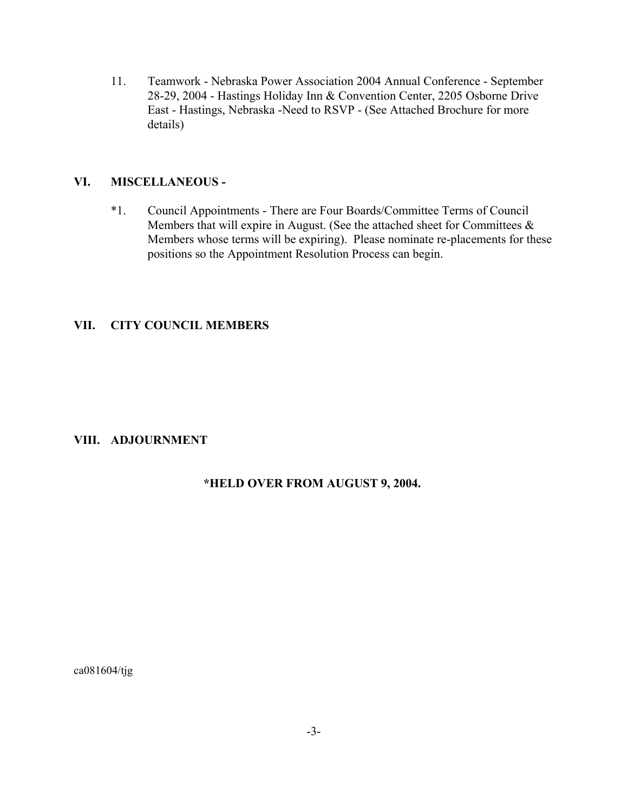11. Teamwork - Nebraska Power Association 2004 Annual Conference - September 28-29, 2004 - Hastings Holiday Inn & Convention Center, 2205 Osborne Drive East - Hastings, Nebraska -Need to RSVP - (See Attached Brochure for more details)

#### **VI. MISCELLANEOUS -**

\*1. Council Appointments - There are Four Boards/Committee Terms of Council Members that will expire in August. (See the attached sheet for Committees  $\&$ Members whose terms will be expiring). Please nominate re-placements for these positions so the Appointment Resolution Process can begin.

#### **VII. CITY COUNCIL MEMBERS**

#### **VIII. ADJOURNMENT**

#### **\*HELD OVER FROM AUGUST 9, 2004.**

ca081604/tjg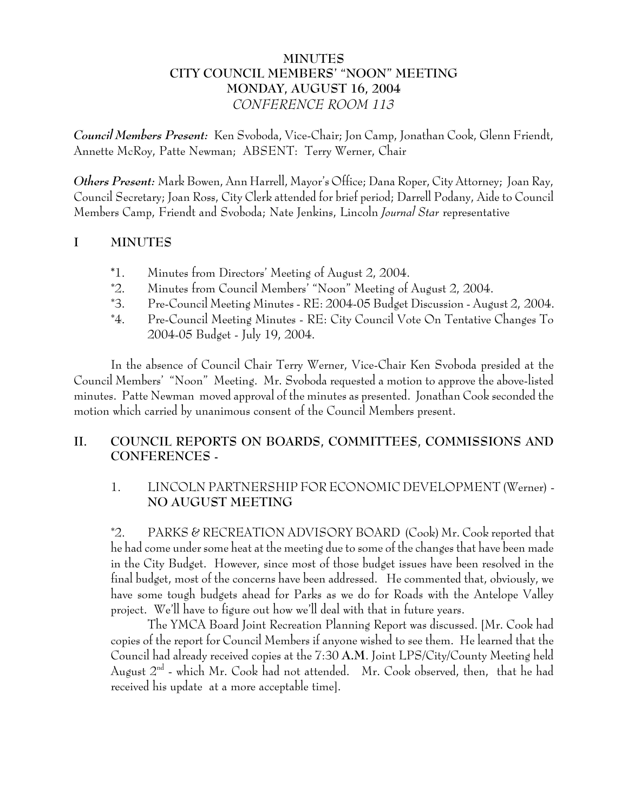# **MINUTES CITY COUNCIL MEMBERS' "NOON" MEETING MONDAY, AUGUST 16, 2004** *CONFERENCE ROOM 113*

*Council Members Present:* Ken Svoboda, Vice-Chair; Jon Camp, Jonathan Cook, Glenn Friendt, Annette McRoy, Patte Newman; ABSENT: Terry Werner, Chair

*Others Present:* Mark Bowen, Ann Harrell, Mayor's Office; Dana Roper, City Attorney; Joan Ray, Council Secretary; Joan Ross, City Clerk attended for brief period; Darrell Podany, Aide to Council Members Camp, Friendt and Svoboda; Nate Jenkins, Lincoln *Journal Star* representative

# **I MINUTES**

- **\***1. Minutes from Directors' Meeting of August 2, 2004.
- \*2. Minutes from Council Members' "Noon" Meeting of August 2, 2004.
- \*3. Pre-Council Meeting Minutes RE: 2004-05 Budget Discussion August 2, 2004.
- \*4. Pre-Council Meeting Minutes RE: City Council Vote On Tentative Changes To 2004-05 Budget - July 19, 2004.

In the absence of Council Chair Terry Werner, Vice-Chair Ken Svoboda presided at the Council Members' "Noon" Meeting. Mr. Svoboda requested a motion to approve the above-listed minutes. Patte Newman moved approval of the minutes as presented. Jonathan Cook seconded the motion which carried by unanimous consent of the Council Members present.

# **II. COUNCIL REPORTS ON BOARDS, COMMITTEES, COMMISSIONS AND CONFERENCES -**

# 1. LINCOLN PARTNERSHIP FOR ECONOMIC DEVELOPMENT (Werner) - **NO AUGUST MEETING**

\*2. PARKS & RECREATION ADVISORY BOARD (Cook) Mr. Cook reported that he had come under some heat at the meeting due to some of the changes that have been made in the City Budget. However, since most of those budget issues have been resolved in the final budget, most of the concerns have been addressed. He commented that, obviously, we have some tough budgets ahead for Parks as we do for Roads with the Antelope Valley project. We'll have to figure out how we'll deal with that in future years.

The YMCA Board Joint Recreation Planning Report was discussed. [Mr. Cook had copies of the report for Council Members if anyone wished to see them. He learned that the Council had already received copies at the 7:30 **A.M**. Joint LPS/City/County Meeting held August  $2^{nd}$  - which Mr. Cook had not attended. Mr. Cook observed, then, that he had received his update at a more acceptable time].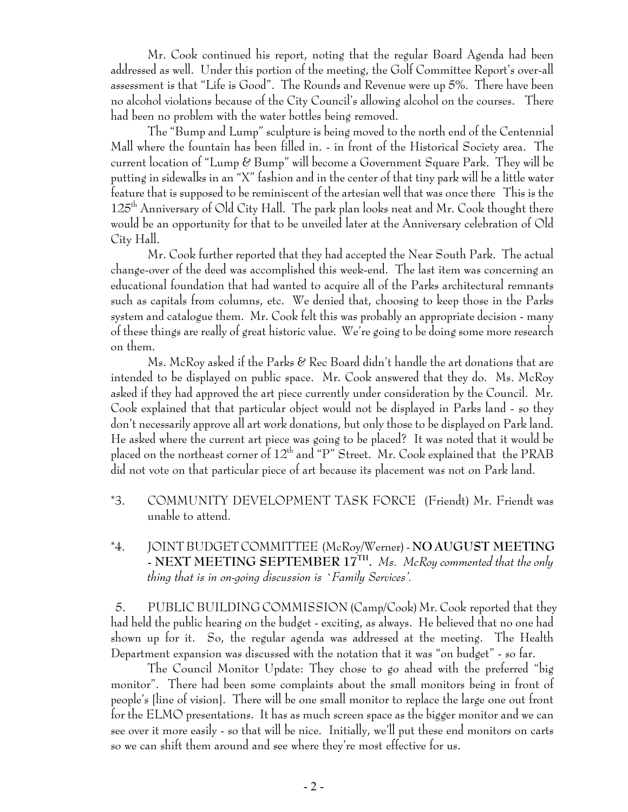Mr. Cook continued his report, noting that the regular Board Agenda had been addressed as well. Under this portion of the meeting, the Golf Committee Report's over-all assessment is that "Life is Good". The Rounds and Revenue were up 5%. There have been no alcohol violations because of the City Council's allowing alcohol on the courses. There had been no problem with the water bottles being removed.

The "Bump and Lump" sculpture is being moved to the north end of the Centennial Mall where the fountain has been filled in. - in front of the Historical Society area. The current location of "Lump & Bump" will become a Government Square Park. They will be putting in sidewalks in an "X" fashion and in the center of that tiny park will be a little water feature that is supposed to be reminiscent of the artesian well that was once there This is the 125<sup>th</sup> Anniversary of Old City Hall. The park plan looks neat and Mr. Cook thought there would be an opportunity for that to be unveiled later at the Anniversary celebration of Old City Hall.

Mr. Cook further reported that they had accepted the Near South Park. The actual change-over of the deed was accomplished this week-end. The last item was concerning an educational foundation that had wanted to acquire all of the Parks architectural remnants such as capitals from columns, etc. We denied that, choosing to keep those in the Parks system and catalogue them. Mr. Cook felt this was probably an appropriate decision - many of these things are really of great historic value. We're going to be doing some more research on them.

Ms. McRoy asked if the Parks & Rec Board didn't handle the art donations that are intended to be displayed on public space. Mr. Cook answered that they do. Ms. McRoy asked if they had approved the art piece currently under consideration by the Council. Mr. Cook explained that that particular object would not be displayed in Parks land - so they don't necessarily approve all art work donations, but only those to be displayed on Park land. He asked where the current art piece was going to be placed? It was noted that it would be placed on the northeast corner of  $12^{th}$  and "P" Street. Mr. Cook explained that the PRAB did not vote on that particular piece of art because its placement was not on Park land.

- \*3. COMMUNITY DEVELOPMENT TASK FORCE (Friendt) Mr. Friendt was unable to attend.
- \*4. JOINT BUDGET COMMITTEE (McRoy/Werner) **NO AUGUST MEETING - NEXT MEETING SEPTEMBER 17TH.** *Ms. McRoy commented that the only thing that is in on-going discussion is `Family Services'.*

5. PUBLIC BUILDING COMMISSION (Camp/Cook) Mr. Cook reported that they had held the public hearing on the budget - exciting, as always. He believed that no one had shown up for it. So, the regular agenda was addressed at the meeting. The Health Department expansion was discussed with the notation that it was "on budget" - so far.

The Council Monitor Update: They chose to go ahead with the preferred "big monitor". There had been some complaints about the small monitors being in front of people's [line of vision]. There will be one small monitor to replace the large one out front for the ELMO presentations. It has as much screen space as the bigger monitor and we can see over it more easily - so that will be nice. Initially, we'll put these end monitors on carts so we can shift them around and see where they're most effective for us.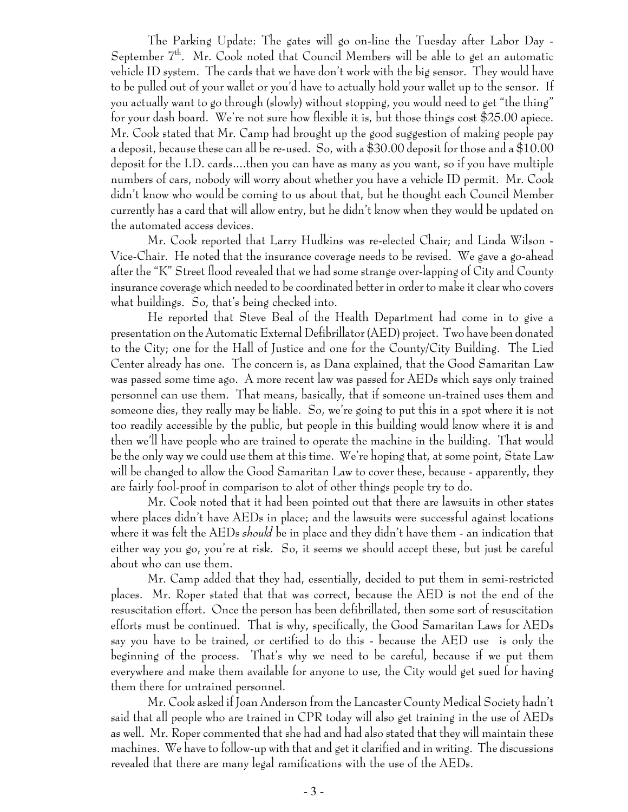The Parking Update: The gates will go on-line the Tuesday after Labor Day - September 7<sup>th</sup>. Mr. Cook noted that Council Members will be able to get an automatic vehicle ID system. The cards that we have don't work with the big sensor. They would have to be pulled out of your wallet or you'd have to actually hold your wallet up to the sensor. If you actually want to go through (slowly) without stopping, you would need to get "the thing" for your dash board. We're not sure how flexible it is, but those things cost \$25.00 apiece. Mr. Cook stated that Mr. Camp had brought up the good suggestion of making people pay a deposit, because these can all be re-used. So, with a \$30.00 deposit for those and a \$10.00 deposit for the I.D. cards....then you can have as many as you want, so if you have multiple numbers of cars, nobody will worry about whether you have a vehicle ID permit. Mr. Cook didn't know who would be coming to us about that, but he thought each Council Member currently has a card that will allow entry, but he didn't know when they would be updated on the automated access devices.

Mr. Cook reported that Larry Hudkins was re-elected Chair; and Linda Wilson - Vice-Chair. He noted that the insurance coverage needs to be revised. We gave a go-ahead after the "K" Street flood revealed that we had some strange over-lapping of City and County insurance coverage which needed to be coordinated better in order to make it clear who covers what buildings. So, that's being checked into.

He reported that Steve Beal of the Health Department had come in to give a presentation on the Automatic External Defibrillator (AED) project. Two have been donated to the City; one for the Hall of Justice and one for the County/City Building. The Lied Center already has one. The concern is, as Dana explained, that the Good Samaritan Law was passed some time ago. A more recent law was passed for AEDs which says only trained personnel can use them. That means, basically, that if someone un-trained uses them and someone dies, they really may be liable. So, we're going to put this in a spot where it is not too readily accessible by the public, but people in this building would know where it is and then we'll have people who are trained to operate the machine in the building. That would be the only way we could use them at this time. We're hoping that, at some point, State Law will be changed to allow the Good Samaritan Law to cover these, because - apparently, they are fairly fool-proof in comparison to alot of other things people try to do.

Mr. Cook noted that it had been pointed out that there are lawsuits in other states where places didn't have AEDs in place; and the lawsuits were successful against locations where it was felt the AEDs *should* be in place and they didn't have them - an indication that either way you go, you're at risk. So, it seems we should accept these, but just be careful about who can use them.

Mr. Camp added that they had, essentially, decided to put them in semi-restricted places. Mr. Roper stated that that was correct, because the AED is not the end of the resuscitation effort. Once the person has been defibrillated, then some sort of resuscitation efforts must be continued. That is why, specifically, the Good Samaritan Laws for AEDs say you have to be trained, or certified to do this - because the AED use is only the beginning of the process. That's why we need to be careful, because if we put them everywhere and make them available for anyone to use, the City would get sued for having them there for untrained personnel.

Mr. Cook asked if Joan Anderson from the Lancaster County Medical Society hadn't said that all people who are trained in CPR today will also get training in the use of AEDs as well. Mr. Roper commented that she had and had also stated that they will maintain these machines. We have to follow-up with that and get it clarified and in writing. The discussions revealed that there are many legal ramifications with the use of the AEDs.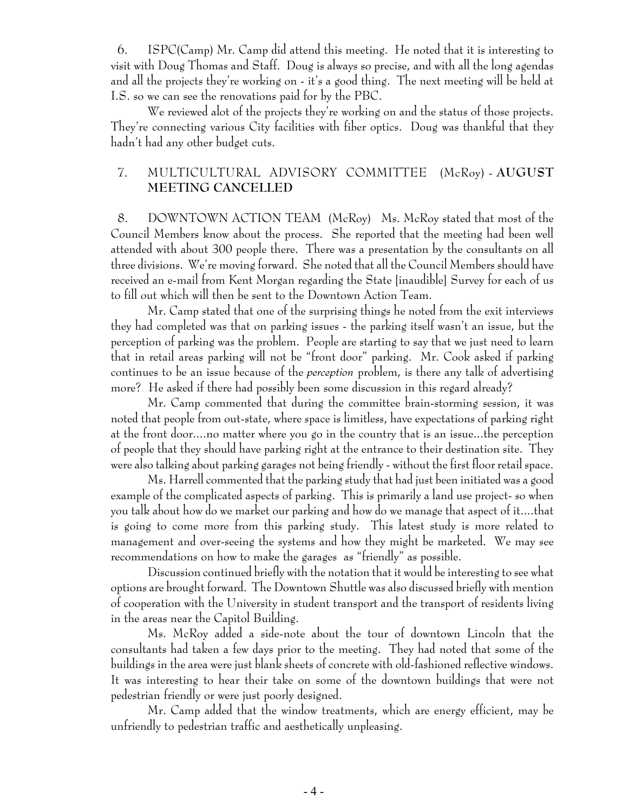6. ISPC(Camp) Mr. Camp did attend this meeting. He noted that it is interesting to visit with Doug Thomas and Staff. Doug is always so precise, and with all the long agendas and all the projects they're working on - it's a good thing. The next meeting will be held at I.S. so we can see the renovations paid for by the PBC.

We reviewed alot of the projects they're working on and the status of those projects. They're connecting various City facilities with fiber optics. Doug was thankful that they hadn't had any other budget cuts.

### 7. MULTICULTURAL ADVISORY COMMITTEE (McRoy) - **AUGUST MEETING CANCELLED**

8. DOWNTOWN ACTION TEAM (McRoy) Ms. McRoy stated that most of the Council Members know about the process. She reported that the meeting had been well attended with about 300 people there. There was a presentation by the consultants on all three divisions. We're moving forward. She noted that all the Council Members should have received an e-mail from Kent Morgan regarding the State [inaudible] Survey for each of us to fill out which will then be sent to the Downtown Action Team.

Mr. Camp stated that one of the surprising things he noted from the exit interviews they had completed was that on parking issues - the parking itself wasn't an issue, but the perception of parking was the problem. People are starting to say that we just need to learn that in retail areas parking will not be "front door" parking. Mr. Cook asked if parking continues to be an issue because of the *perception* problem, is there any talk of advertising more? He asked if there had possibly been some discussion in this regard already?

Mr. Camp commented that during the committee brain-storming session, it was noted that people from out-state, where space is limitless, have expectations of parking right at the front door....no matter where you go in the country that is an issue...the perception of people that they should have parking right at the entrance to their destination site. They were also talking about parking garages not being friendly - without the first floor retail space.

Ms. Harrell commented that the parking study that had just been initiated was a good example of the complicated aspects of parking. This is primarily a land use project- so when you talk about how do we market our parking and how do we manage that aspect of it....that is going to come more from this parking study. This latest study is more related to management and over-seeing the systems and how they might be marketed. We may see recommendations on how to make the garages as "friendly" as possible.

Discussion continued briefly with the notation that it would be interesting to see what options are brought forward. The Downtown Shuttle was also discussed briefly with mention of cooperation with the University in student transport and the transport of residents living in the areas near the Capitol Building.

Ms. McRoy added a side-note about the tour of downtown Lincoln that the consultants had taken a few days prior to the meeting. They had noted that some of the buildings in the area were just blank sheets of concrete with old-fashioned reflective windows. It was interesting to hear their take on some of the downtown buildings that were not pedestrian friendly or were just poorly designed.

Mr. Camp added that the window treatments, which are energy efficient, may be unfriendly to pedestrian traffic and aesthetically unpleasing.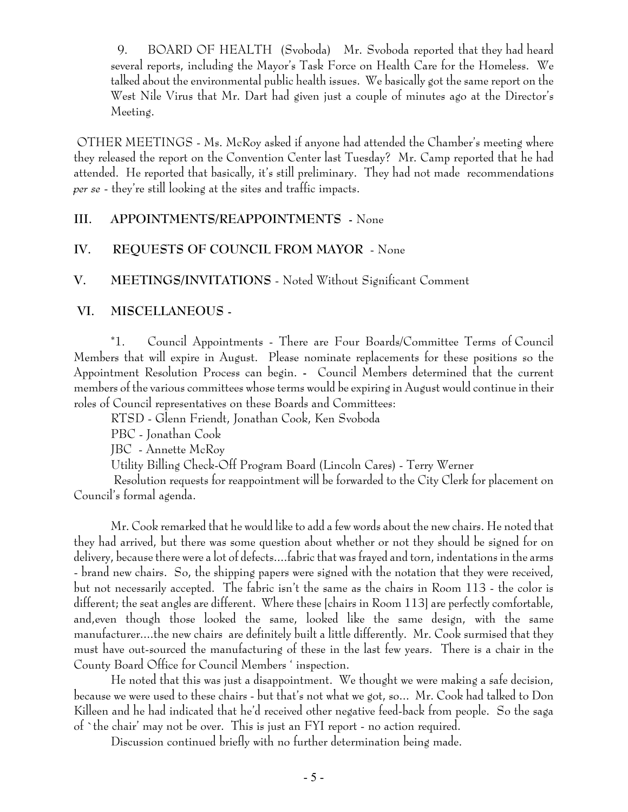9. BOARD OF HEALTH (Svoboda) Mr. Svoboda reported that they had heard several reports, including the Mayor's Task Force on Health Care for the Homeless. We talked about the environmental public health issues. We basically got the same report on the West Nile Virus that Mr. Dart had given just a couple of minutes ago at the Director's Meeting.

 OTHER MEETINGS - Ms. McRoy asked if anyone had attended the Chamber's meeting where they released the report on the Convention Center last Tuesday? Mr. Camp reported that he had attended. He reported that basically, it's still preliminary. They had not made recommendations *per se* - they're still looking at the sites and traffic impacts.

#### **III. APPOINTMENTS/REAPPOINTMENTS -** None

### **IV. REQUESTS OF COUNCIL FROM MAYOR** - None

**V. MEETINGS/INVITATIONS** - Noted Without Significant Comment

### **VI. MISCELLANEOUS -**

\*1. Council Appointments - There are Four Boards/Committee Terms of Council Members that will expire in August. Please nominate replacements for these positions so the Appointment Resolution Process can begin. **-** Council Members determined that the current members of the various committees whose terms would be expiring in August would continue in their roles of Council representatives on these Boards and Committees:

RTSD - Glenn Friendt, Jonathan Cook, Ken Svoboda

PBC - Jonathan Cook

JBC - Annette McRoy

Utility Billing Check-Off Program Board (Lincoln Cares) - Terry Werner

 Resolution requests for reappointment will be forwarded to the City Clerk for placement on Council's formal agenda.

Mr. Cook remarked that he would like to add a few words about the new chairs. He noted that they had arrived, but there was some question about whether or not they should be signed for on delivery, because there were a lot of defects....fabric that was frayed and torn, indentations in the arms - brand new chairs. So, the shipping papers were signed with the notation that they were received, but not necessarily accepted. The fabric isn't the same as the chairs in Room 113 - the color is different; the seat angles are different. Where these [chairs in Room 113] are perfectly comfortable, and,even though those looked the same, looked like the same design, with the same manufacturer....the new chairs are definitely built a little differently. Mr. Cook surmised that they must have out-sourced the manufacturing of these in the last few years. There is a chair in the County Board Office for Council Members ' inspection.

He noted that this was just a disappointment. We thought we were making a safe decision, because we were used to these chairs - but that's not what we got, so... Mr. Cook had talked to Don Killeen and he had indicated that he'd received other negative feed-back from people. So the saga of `the chair' may not be over. This is just an FYI report - no action required.

Discussion continued briefly with no further determination being made.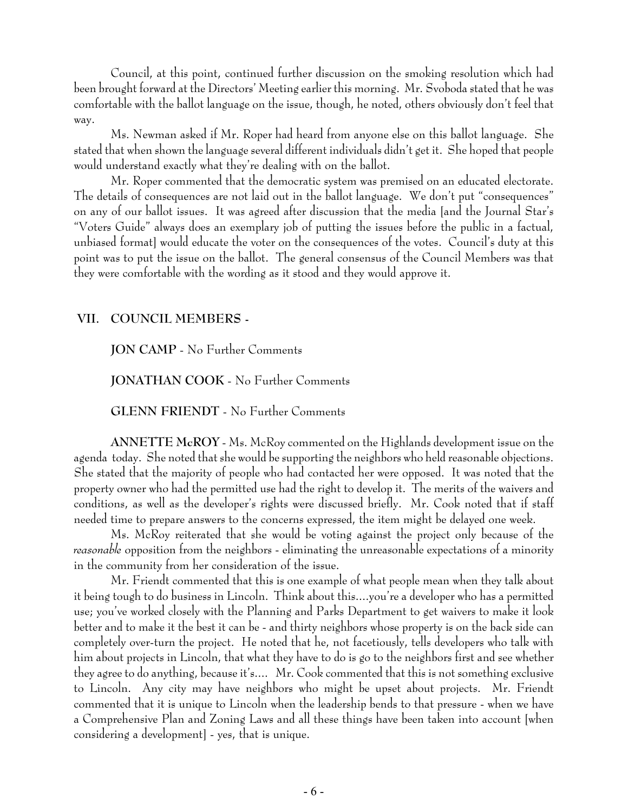Council, at this point, continued further discussion on the smoking resolution which had been brought forward at the Directors' Meeting earlier this morning. Mr. Svoboda stated that he was comfortable with the ballot language on the issue, though, he noted, others obviously don't feel that way.

Ms. Newman asked if Mr. Roper had heard from anyone else on this ballot language. She stated that when shown the language several different individuals didn't get it. She hoped that people would understand exactly what they're dealing with on the ballot.

Mr. Roper commented that the democratic system was premised on an educated electorate. The details of consequences are not laid out in the ballot language. We don't put "consequences" on any of our ballot issues. It was agreed after discussion that the media [and the Journal Star's "Voters Guide" always does an exemplary job of putting the issues before the public in a factual, unbiased format] would educate the voter on the consequences of the votes. Council's duty at this point was to put the issue on the ballot. The general consensus of the Council Members was that they were comfortable with the wording as it stood and they would approve it.

#### **VII. COUNCIL MEMBERS -**

**JON CAMP** - No Further Comments

**JONATHAN COOK** - No Further Comments

**GLENN FRIENDT** - No Further Comments

**ANNETTE McROY** - Ms. McRoy commented on the Highlands development issue on the agenda today. She noted that she would be supporting the neighbors who held reasonable objections. She stated that the majority of people who had contacted her were opposed. It was noted that the property owner who had the permitted use had the right to develop it. The merits of the waivers and conditions, as well as the developer's rights were discussed briefly. Mr. Cook noted that if staff needed time to prepare answers to the concerns expressed, the item might be delayed one week.

Ms. McRoy reiterated that she would be voting against the project only because of the *reasonable* opposition from the neighbors - eliminating the unreasonable expectations of a minority in the community from her consideration of the issue.

Mr. Friendt commented that this is one example of what people mean when they talk about it being tough to do business in Lincoln. Think about this....you're a developer who has a permitted use; you've worked closely with the Planning and Parks Department to get waivers to make it look better and to make it the best it can be - and thirty neighbors whose property is on the back side can completely over-turn the project. He noted that he, not facetiously, tells developers who talk with him about projects in Lincoln, that what they have to do is go to the neighbors first and see whether they agree to do anything, because it's.... Mr. Cook commented that this is not something exclusive to Lincoln. Any city may have neighbors who might be upset about projects. Mr. Friendt commented that it is unique to Lincoln when the leadership bends to that pressure - when we have a Comprehensive Plan and Zoning Laws and all these things have been taken into account [when considering a development] - yes, that is unique.